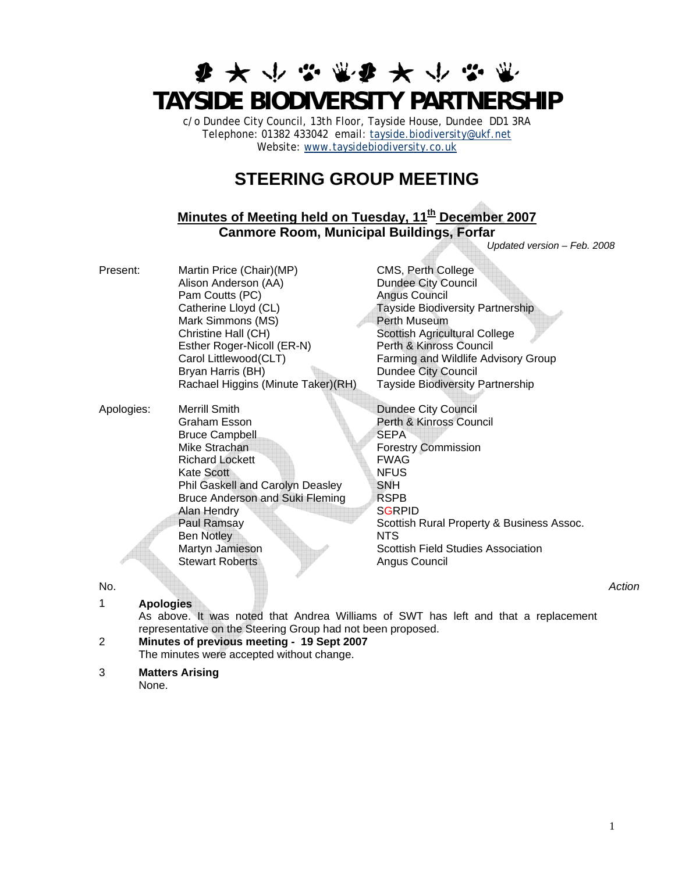# **まみかなぶなみかなき TAYSIDE BIODIVERSITY PARTNERSHIP**

c/o Dundee City Council, 13th Floor, Tayside House, Dundee DD1 3RA Telephone: 01382 433042 email: [tayside.biodiversity@ukf.net](mailto:tayside.biodiversity@ukf.net) Website: [www.taysidebiodiversity.co.uk](http://www.taysidebiodiversity.co.uk/)

## **STEERING GROUP MEETING**

### **Minutes of Meeting held on Tuesday, 11<sup>th</sup> December 2007 Canmore Room, Municipal Buildings, Forfar**

Present: Martin Price (Chair)(MP) CMS, Perth College Alison Anderson (AA) Dundee City Council Pam Coutts (PC) and Angus Council Catherine Lloyd (CL)<br>
Mark Simmons (MS)<br>
Perth Museum Mark Simmons (MS)<br>Christine Hall (CH) Esther Roger-Nicoll (ER-N) Perth & Kinross Council<br>Carol Littlewood (CLT) Farming and Wildlife Adv Bryan Harris (BH) Dundee City Council Rachael Higgins (Minute Taker)(RH) Tayside Biodiversity Partnership

Apologies: Merrill Smith **Dundee City Council**  Graham Esson Perth & Kinross Council Bruce Campbell SEPA Mike Strachan **Forestry Commission** Richard Lockett<br>Kate Scott<br>NEUS Kate Scott Phil Gaskell and Carolyn Deasley SNH Bruce Anderson and Suki Fleming RSPB Alan Hendry SGRPID Ben Notley NTS Martyn Jamieson Scottish Field Studies Association

Scottish Agricultural College Farming and Wildlife Advisory Group

*Updated version – Feb. 2008* 

Paul Ramsay Scottish Rural Property & Business Assoc. Stewart Roberts **Angus Council Angus Council** 

1 **Apologies** 

As above. It was noted that Andrea Williams of SWT has left and that a replacement representative on the Steering Group had not been proposed.

2 **Minutes of previous meeting - 19 Sept 2007**  The minutes were accepted without change.

#### 3 **Matters Arising**

None.

No. *Action*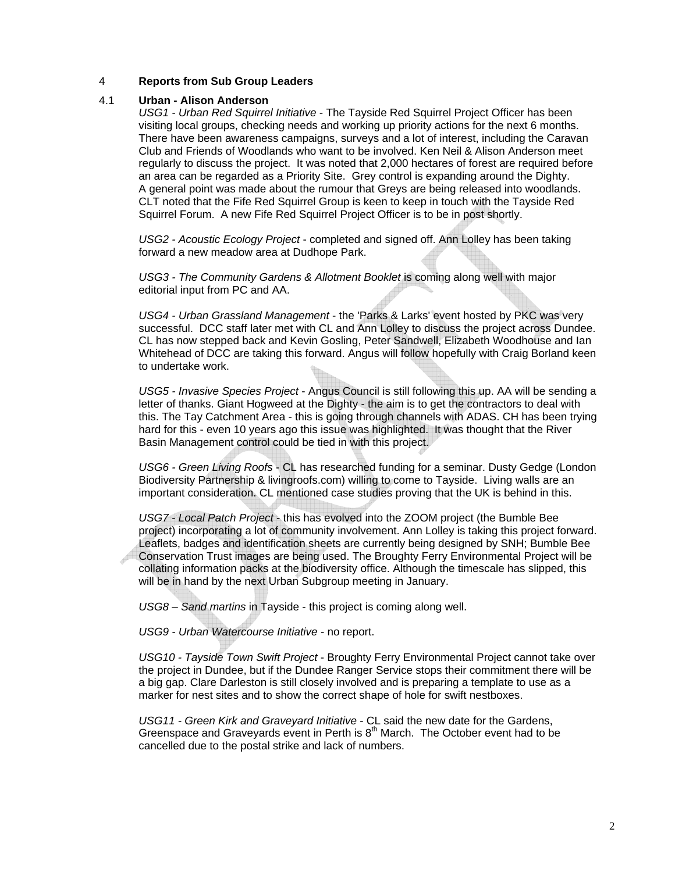#### 4 **Reports from Sub Group Leaders**

#### 4.1 **Urban - Alison Anderson**

*USG1 - Urban Red Squirrel Initiative* - The Tayside Red Squirrel Project Officer has been visiting local groups, checking needs and working up priority actions for the next 6 months. There have been awareness campaigns, surveys and a lot of interest, including the Caravan Club and Friends of Woodlands who want to be involved. Ken Neil & Alison Anderson meet regularly to discuss the project. It was noted that 2,000 hectares of forest are required before an area can be regarded as a Priority Site. Grey control is expanding around the Dighty. A general point was made about the rumour that Greys are being released into woodlands. CLT noted that the Fife Red Squirrel Group is keen to keep in touch with the Tayside Red Squirrel Forum. A new Fife Red Squirrel Project Officer is to be in post shortly.

*USG2 - Acoustic Ecology Project* - completed and signed off. Ann Lolley has been taking forward a new meadow area at Dudhope Park.

*USG3 - The Community Gardens & Allotment Booklet* is coming along well with major editorial input from PC and AA.

*USG4 - Urban Grassland Management* - the 'Parks & Larks' event hosted by PKC was very successful. DCC staff later met with CL and Ann Lolley to discuss the project across Dundee. CL has now stepped back and Kevin Gosling, Peter Sandwell, Elizabeth Woodhouse and Ian Whitehead of DCC are taking this forward. Angus will follow hopefully with Craig Borland keen to undertake work.

*USG5 - Invasive Species Project* - Angus Council is still following this up. AA will be sending a letter of thanks. Giant Hogweed at the Dighty - the aim is to get the contractors to deal with this. The Tay Catchment Area - this is going through channels with ADAS. CH has been trying hard for this - even 10 years ago this issue was highlighted. It was thought that the River Basin Management control could be tied in with this project.

*USG6 - Green Living Roofs* - CL has researched funding for a seminar. Dusty Gedge (London Biodiversity Partnership & livingroofs.com) willing to come to Tayside. Living walls are an important consideration. CL mentioned case studies proving that the UK is behind in this.

*USG7 - Local Patch Project* - this has evolved into the ZOOM project (the Bumble Bee project) incorporating a lot of community involvement. Ann Lolley is taking this project forward. Leaflets, badges and identification sheets are currently being designed by SNH; Bumble Bee Conservation Trust images are being used. The Broughty Ferry Environmental Project will be collating information packs at the biodiversity office. Although the timescale has slipped, this will be in hand by the next Urban Subgroup meeting in January.

*USG8 – Sand martins* in Tayside - this project is coming along well.

*USG9 - Urban Watercourse Initiative* - no report.

*USG10 - Tayside Town Swift Project* - Broughty Ferry Environmental Project cannot take over the project in Dundee, but if the Dundee Ranger Service stops their commitment there will be a big gap. Clare Darleston is still closely involved and is preparing a template to use as a marker for nest sites and to show the correct shape of hole for swift nestboxes.

*USG11 - Green Kirk and Graveyard Initiative* - CL said the new date for the Gardens, Greenspace and Graveyards event in Perth is  $8<sup>th</sup>$  March. The October event had to be cancelled due to the postal strike and lack of numbers.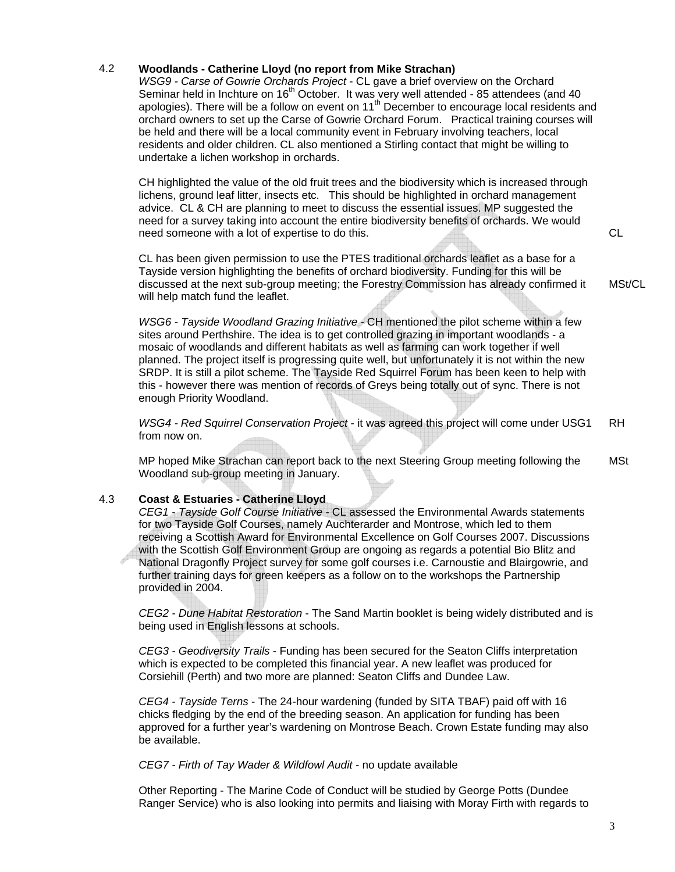#### 4.2 **Woodlands - Catherine Lloyd (no report from Mike Strachan)**

*WSG9 - Carse of Gowrie Orchards Project* - CL gave a brief overview on the Orchard Seminar held in Inchture on 16<sup>th</sup> October. It was very well attended - 85 attendees (and 40 apologies). There will be a follow on event on  $11<sup>th</sup>$  December to encourage local residents and orchard owners to set up the Carse of Gowrie Orchard Forum. Practical training courses will be held and there will be a local community event in February involving teachers, local residents and older children. CL also mentioned a Stirling contact that might be willing to undertake a lichen workshop in orchards.

CH highlighted the value of the old fruit trees and the biodiversity which is increased through lichens, ground leaf litter, insects etc. This should be highlighted in orchard management advice. CL & CH are planning to meet to discuss the essential issues. MP suggested the need for a survey taking into account the entire biodiversity benefits of orchards. We would need someone with a lot of expertise to do this.

CL has been given permission to use the PTES traditional orchards leaflet as a base for a Tayside version highlighting the benefits of orchard biodiversity. Funding for this will be discussed at the next sub-group meeting; the Forestry Commission has already confirmed it will help match fund the leaflet.

*WSG6 - Tayside Woodland Grazing Initiative* - CH mentioned the pilot scheme within a few sites around Perthshire. The idea is to get controlled grazing in important woodlands - a mosaic of woodlands and different habitats as well as farming can work together if well planned. The project itself is progressing quite well, but unfortunately it is not within the new SRDP. It is still a pilot scheme. The Tayside Red Squirrel Forum has been keen to help with this - however there was mention of records of Greys being totally out of sync. There is not enough Priority Woodland.

*WSG4 - Red Squirrel Conservation Project* - it was agreed this project will come under USG1 from now on. RH

MP hoped Mike Strachan can report back to the next Steering Group meeting following the Woodland sub-group meeting in January. MSt

#### 4.3 **Coast & Estuaries - Catherine Lloyd**

*CEG1 - Tayside Golf Course Initiative* - CL assessed the Environmental Awards statements for two Tayside Golf Courses, namely Auchterarder and Montrose, which led to them receiving a Scottish Award for Environmental Excellence on Golf Courses 2007. Discussions with the Scottish Golf Environment Group are ongoing as regards a potential Bio Blitz and National Dragonfly Project survey for some golf courses i.e. Carnoustie and Blairgowrie, and further training days for green keepers as a follow on to the workshops the Partnership provided in 2004.

*CEG2 - Dune Habitat Restoration* - The Sand Martin booklet is being widely distributed and is being used in English lessons at schools.

*CEG3 - Geodiversity Trails* - Funding has been secured for the Seaton Cliffs interpretation which is expected to be completed this financial year. A new leaflet was produced for Corsiehill (Perth) and two more are planned: Seaton Cliffs and Dundee Law.

*CEG4 - Tayside Terns* - The 24-hour wardening (funded by SITA TBAF) paid off with 16 chicks fledging by the end of the breeding season. An application for funding has been approved for a further year's wardening on Montrose Beach. Crown Estate funding may also be available.

#### *CEG7 - Firth of Tay Wader & Wildfowl Audit* - no update available

Other Reporting - The Marine Code of Conduct will be studied by George Potts (Dundee Ranger Service) who is also looking into permits and liaising with Moray Firth with regards to CL

MSt/CL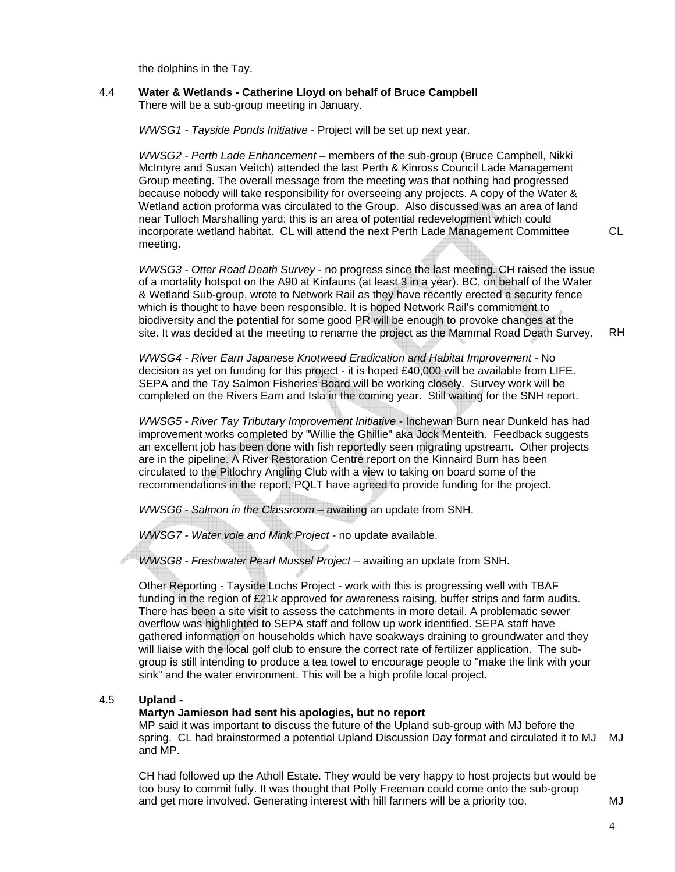the dolphins in the Tay.

#### 4.4 **Water & Wetlands - Catherine Lloyd on behalf of Bruce Campbell**  There will be a sub-group meeting in January.

*WWSG1 - Tayside Ponds Initiative* - Project will be set up next year.

*WWSG2 - Perth Lade Enhancement* – members of the sub-group (Bruce Campbell, Nikki McIntyre and Susan Veitch) attended the last Perth & Kinross Council Lade Management Group meeting. The overall message from the meeting was that nothing had progressed because nobody will take responsibility for overseeing any projects. A copy of the Water & Wetland action proforma was circulated to the Group. Also discussed was an area of land near Tulloch Marshalling yard: this is an area of potential redevelopment which could incorporate wetland habitat. CL will attend the next Perth Lade Management Committee meeting.

*WWSG3 - Otter Road Death Survey* - no progress since the last meeting. CH raised the issue of a mortality hotspot on the A90 at Kinfauns (at least 3 in a year). BC, on behalf of the Water & Wetland Sub-group, wrote to Network Rail as they have recently erected a security fence which is thought to have been responsible. It is hoped Network Rail's commitment to biodiversity and the potential for some good PR will be enough to provoke changes at the site. It was decided at the meeting to rename the project as the Mammal Road Death Survey. RH

*WWSG4 - River Earn Japanese Knotweed Eradication and Habitat Improvement* - No decision as yet on funding for this project - it is hoped £40,000 will be available from LIFE. SEPA and the Tay Salmon Fisheries Board will be working closely. Survey work will be completed on the Rivers Earn and Isla in the coming year. Still waiting for the SNH report.

*WWSG5 - River Tay Tributary Improvement Initiative* - Inchewan Burn near Dunkeld has had improvement works completed by "Willie the Ghillie" aka Jock Menteith. Feedback suggests an excellent job has been done with fish reportedly seen migrating upstream. Other projects are in the pipeline. A River Restoration Centre report on the Kinnaird Burn has been circulated to the Pitlochry Angling Club with a view to taking on board some of the recommendations in the report. PQLT have agreed to provide funding for the project.

*WWSG6 - Salmon in the Classroom* – awaiting an update from SNH.

*WWSG7 - Water vole and Mink Project* - no update available.

*WWSG8 - Freshwater Pearl Mussel Project* – awaiting an update from SNH.

Other Reporting - Tayside Lochs Project - work with this is progressing well with TBAF funding in the region of £21k approved for awareness raising, buffer strips and farm audits. There has been a site visit to assess the catchments in more detail. A problematic sewer overflow was highlighted to SEPA staff and follow up work identified. SEPA staff have gathered information on households which have soakways draining to groundwater and they will liaise with the local golf club to ensure the correct rate of fertilizer application. The subgroup is still intending to produce a tea towel to encourage people to "make the link with your sink" and the water environment. This will be a high profile local project.

#### 4.5 **Upland -**

#### **Martyn Jamieson had sent his apologies, but no report**

MP said it was important to discuss the future of the Upland sub-group with MJ before the spring. CL had brainstormed a potential Upland Discussion Day format and circulated it to MJ MJ and MP.

CH had followed up the Atholl Estate. They would be very happy to host projects but would be too busy to commit fully. It was thought that Polly Freeman could come onto the sub-group and get more involved. Generating interest with hill farmers will be a priority too.

CL

4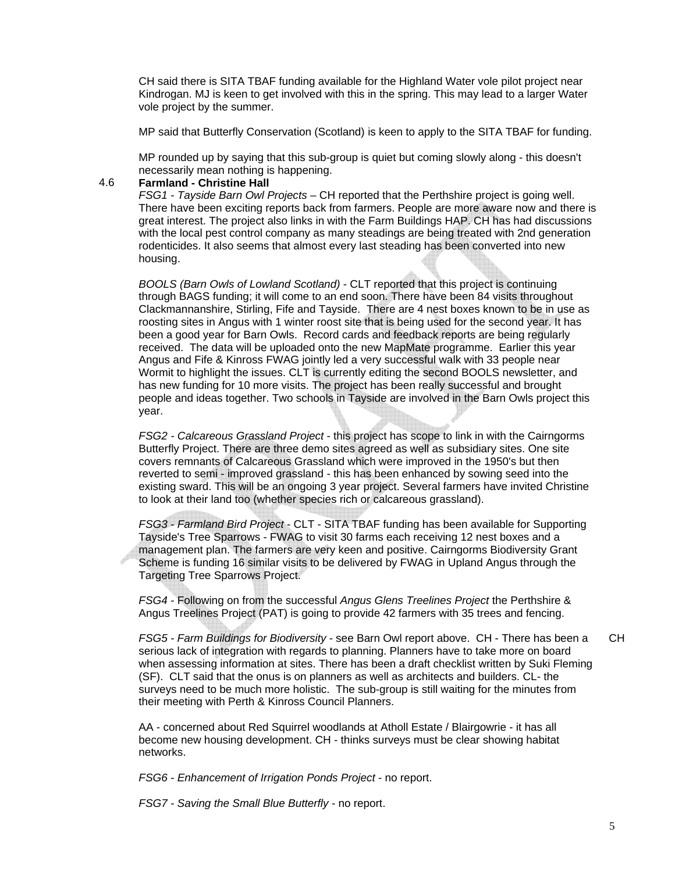CH said there is SITA TBAF funding available for the Highland Water vole pilot project near Kindrogan. MJ is keen to get involved with this in the spring. This may lead to a larger Water vole project by the summer.

MP said that Butterfly Conservation (Scotland) is keen to apply to the SITA TBAF for funding.

MP rounded up by saying that this sub-group is quiet but coming slowly along - this doesn't necessarily mean nothing is happening.

#### 4.6 **Farmland - Christine Hall**

*FSG1 - Tayside Barn Owl Projects* – CH reported that the Perthshire project is going well. There have been exciting reports back from farmers. People are more aware now and there is great interest. The project also links in with the Farm Buildings HAP. CH has had discussions with the local pest control company as many steadings are being treated with 2nd generation rodenticides. It also seems that almost every last steading has been converted into new housing.

*BOOLS (Barn Owls of Lowland Scotland)* - CLT reported that this project is continuing through BAGS funding; it will come to an end soon. There have been 84 visits throughout Clackmannanshire, Stirling, Fife and Tayside. There are 4 nest boxes known to be in use as roosting sites in Angus with 1 winter roost site that is being used for the second year. It has been a good year for Barn Owls. Record cards and feedback reports are being regularly received. The data will be uploaded onto the new MapMate programme. Earlier this year Angus and Fife & Kinross FWAG jointly led a very successful walk with 33 people near Wormit to highlight the issues. CLT is currently editing the second BOOLS newsletter, and has new funding for 10 more visits. The project has been really successful and brought people and ideas together. Two schools in Tayside are involved in the Barn Owls project this year.

*FSG2 - Calcareous Grassland Project* - this project has scope to link in with the Cairngorms Butterfly Project. There are three demo sites agreed as well as subsidiary sites. One site covers remnants of Calcareous Grassland which were improved in the 1950's but then reverted to semi - improved grassland - this has been enhanced by sowing seed into the existing sward. This will be an ongoing 3 year project. Several farmers have invited Christine to look at their land too (whether species rich or calcareous grassland).

*FSG3 - Farmland Bird Project* - CLT - SITA TBAF funding has been available for Supporting Tayside's Tree Sparrows - FWAG to visit 30 farms each receiving 12 nest boxes and a management plan. The farmers are very keen and positive. Cairngorms Biodiversity Grant Scheme is funding 16 similar visits to be delivered by FWAG in Upland Angus through the Targeting Tree Sparrows Project.

*FSG4 -* Following on from the successful *Angus Glens Treelines Project* the Perthshire & Angus Treelines Project (PAT) is going to provide 42 farmers with 35 trees and fencing.

*FSG5 - Farm Buildings for Biodiversity* - see Barn Owl report above. CH - There has been a serious lack of integration with regards to planning. Planners have to take more on board when assessing information at sites. There has been a draft checklist written by Suki Fleming (SF). CLT said that the onus is on planners as well as architects and builders. CL- the surveys need to be much more holistic. The sub-group is still waiting for the minutes from their meeting with Perth & Kinross Council Planners. CH

AA - concerned about Red Squirrel woodlands at Atholl Estate / Blairgowrie - it has all become new housing development. CH - thinks surveys must be clear showing habitat networks.

*FSG6 - Enhancement of Irrigation Ponds Project* - no report.

*FSG7 - Saving the Small Blue Butterfly* - no report.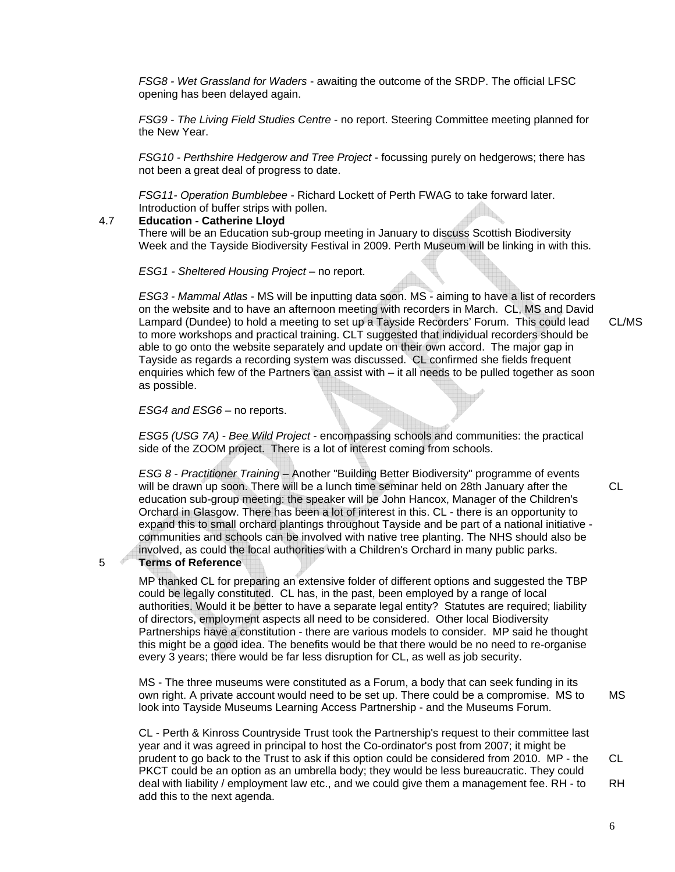*FSG8 - Wet Grassland for Waders* - awaiting the outcome of the SRDP. The official LFSC opening has been delayed again.

*FSG9 - The Living Field Studies Centre* - no report. Steering Committee meeting planned for the New Year.

*FSG10 - Perthshire Hedgerow and Tree Project* - focussing purely on hedgerows; there has not been a great deal of progress to date.

*FSG11- Operation Bumblebee* - Richard Lockett of Perth FWAG to take forward later. Introduction of buffer strips with pollen.

#### 4.7 **Education - Catherine Lloyd**

There will be an Education sub-group meeting in January to discuss Scottish Biodiversity Week and the Tayside Biodiversity Festival in 2009. Perth Museum will be linking in with this.

*ESG1 - Sheltered Housing Project* – no report.

*ESG3 - Mammal Atlas* - MS will be inputting data soon. MS - aiming to have a list of recorders on the website and to have an afternoon meeting with recorders in March. CL, MS and David Lampard (Dundee) to hold a meeting to set up a Tayside Recorders' Forum. This could lead to more workshops and practical training. CLT suggested that individual recorders should be able to go onto the website separately and update on their own accord. The major gap in Tayside as regards a recording system was discussed. CL confirmed she fields frequent enquiries which few of the Partners can assist with – it all needs to be pulled together as soon as possible.

#### *ESG4 and ESG6* – no reports.

*ESG5 (USG 7A) - Bee Wild Project* - encompassing schools and communities: the practical side of the ZOOM project. There is a lot of interest coming from schools.

*ESG 8 - Practitioner Training* – Another "Building Better Biodiversity" programme of events will be drawn up soon. There will be a lunch time seminar held on 28th January after the education sub-group meeting: the speaker will be John Hancox, Manager of the Children's Orchard in Glasgow. There has been a lot of interest in this. CL - there is an opportunity to expand this to small orchard plantings throughout Tayside and be part of a national initiative communities and schools can be involved with native tree planting. The NHS should also be involved, as could the local authorities with a Children's Orchard in many public parks.

#### 5 **Terms of Reference**

MP thanked CL for preparing an extensive folder of different options and suggested the TBP could be legally constituted. CL has, in the past, been employed by a range of local authorities. Would it be better to have a separate legal entity? Statutes are required; liability of directors, employment aspects all need to be considered. Other local Biodiversity Partnerships have a constitution - there are various models to consider. MP said he thought this might be a good idea. The benefits would be that there would be no need to re-organise every 3 years; there would be far less disruption for CL, as well as job security.

MS - The three museums were constituted as a Forum, a body that can seek funding in its own right. A private account would need to be set up. There could be a compromise. MS to look into Tayside Museums Learning Access Partnership - and the Museums Forum. MS

CL - Perth & Kinross Countryside Trust took the Partnership's request to their committee last year and it was agreed in principal to host the Co-ordinator's post from 2007; it might be prudent to go back to the Trust to ask if this option could be considered from 2010. MP - the PKCT could be an option as an umbrella body; they would be less bureaucratic. They could deal with liability / employment law etc., and we could give them a management fee. RH - to add this to the next agenda. CL RH

CL/MS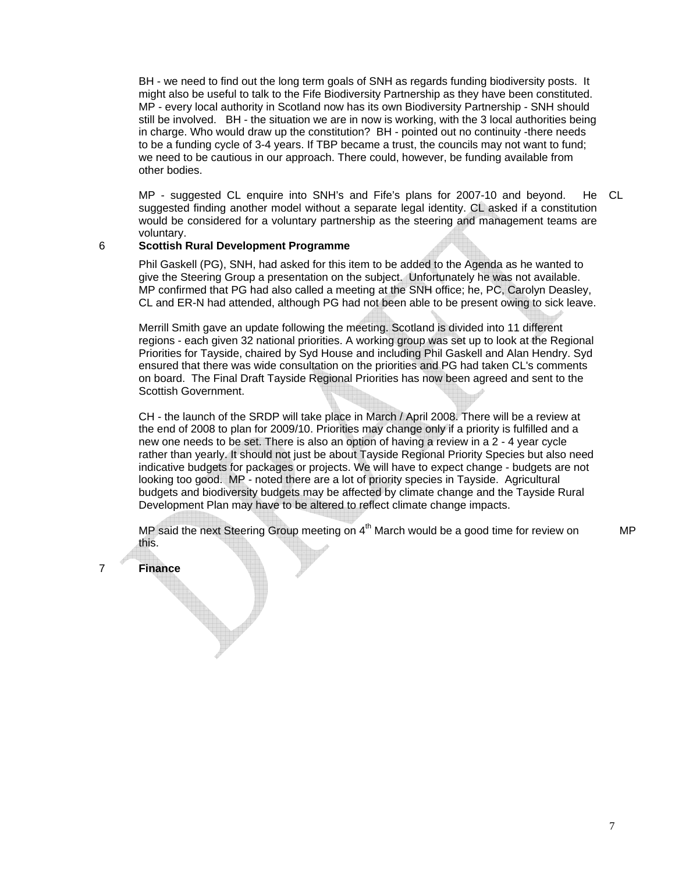BH - we need to find out the long term goals of SNH as regards funding biodiversity posts. It might also be useful to talk to the Fife Biodiversity Partnership as they have been constituted. MP - every local authority in Scotland now has its own Biodiversity Partnership - SNH should still be involved. BH - the situation we are in now is working, with the 3 local authorities being in charge. Who would draw up the constitution? BH - pointed out no continuity -there needs to be a funding cycle of 3-4 years. If TBP became a trust, the councils may not want to fund; we need to be cautious in our approach. There could, however, be funding available from other bodies.

MP - suggested CL enquire into SNH's and Fife's plans for 2007-10 and beyond. suggested finding another model without a separate legal identity. CL asked if a constitution would be considered for a voluntary partnership as the steering and management teams are voluntary. He CL

#### 6 **Scottish Rural Development Programme**

Phil Gaskell (PG), SNH, had asked for this item to be added to the Agenda as he wanted to give the Steering Group a presentation on the subject. Unfortunately he was not available. MP confirmed that PG had also called a meeting at the SNH office; he, PC, Carolyn Deasley, CL and ER-N had attended, although PG had not been able to be present owing to sick leave.

Merrill Smith gave an update following the meeting. Scotland is divided into 11 different regions - each given 32 national priorities. A working group was set up to look at the Regional Priorities for Tayside, chaired by Syd House and including Phil Gaskell and Alan Hendry. Syd ensured that there was wide consultation on the priorities and PG had taken CL's comments on board. The Final Draft Tayside Regional Priorities has now been agreed and sent to the Scottish Government.

CH - the launch of the SRDP will take place in March / April 2008. There will be a review at the end of 2008 to plan for 2009/10. Priorities may change only if a priority is fulfilled and a new one needs to be set. There is also an option of having a review in a 2 - 4 year cycle rather than yearly. It should not just be about Tayside Regional Priority Species but also need indicative budgets for packages or projects. We will have to expect change - budgets are not looking too good. MP - noted there are a lot of priority species in Tayside. Agricultural budgets and biodiversity budgets may be affected by climate change and the Tayside Rural Development Plan may have to be altered to reflect climate change impacts.

MP said the next Steering Group meeting on 4<sup>th</sup> March would be a good time for review on this.

7 **Finance**

MP